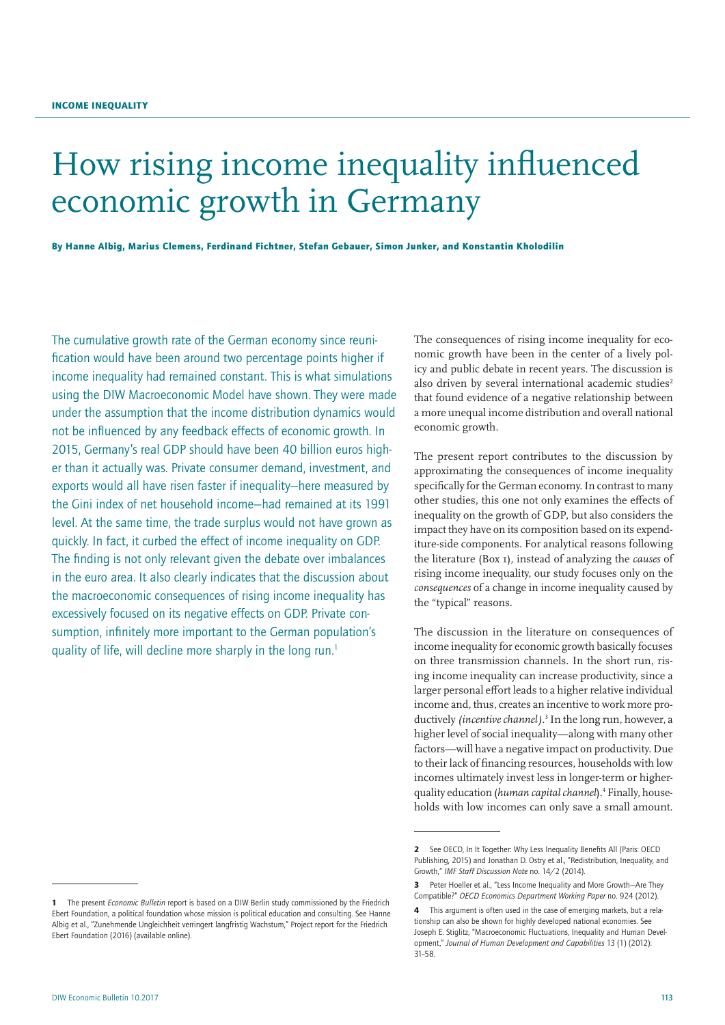# How rising income inequality influenced economic growth in Germany

By Hanne Albig, Marius Clemens, Ferdinand Fichtner, Stefan Gebauer, Simon Junker, and Konstantin Kholodilin

The cumulative growth rate of the German economy since reunification would have been around two percentage points higher if income inequality had remained constant. This is what simulations using the DIW Macroeconomic Model have shown. They were made under the assumption that the income distribution dynamics would not be influenced by any feedback effects of economic growth. In 2015, Germany's real GDP should have been 40 billion euros higher than it actually was. Private consumer demand, investment, and exports would all have risen faster if inequality—here measured by the Gini index of net household income—had remained at its 1991 level. At the same time, the trade surplus would not have grown as quickly. In fact, it curbed the effect of income inequality on GDP. The finding is not only relevant given the debate over imbalances in the euro area. It also clearly indicates that the discussion about the macroeconomic consequences of rising income inequality has excessively focused on its negative effects on GDP. Private consumption, infinitely more important to the German population's quality of life, will decline more sharply in the long run.<sup>1</sup>

The consequences of rising income inequality for economic growth have been in the center of a lively policy and public debate in recent years. The discussion is also driven by several international academic studies<sup>2</sup> that found evidence of a negative relationship between a more unequal income distribution and overall national economic growth.

The present report contributes to the discussion by approximating the consequences of income inequality specifically for the German economy. In contrast to many other studies, this one not only examines the effects of inequality on the growth of GDP, but also considers the impact they have on its composition based on its expenditure-side components. For analytical reasons following the literature (Box 1), instead of analyzing the *causes* of rising income inequality, our study focuses only on the *consequences* of a change in income inequality caused by the "typical" reasons.

The discussion in the literature on consequences of income inequality for economic growth basically focuses on three transmission channels. In the short run, rising income inequality can increase productivity, since a larger personal effort leads to a higher relative individual income and, thus, creates an incentive to work more productively *(incentive channel)*. 3 In the long run, however, a higher level of social inequality—along with many other factors—will have a negative impact on productivity. Due to their lack of financing resources, households with low incomes ultimately invest less in longer-term or higherquality education (*human capital channel*).4 Finally, households with low incomes can only save a small amount.

<sup>2</sup> See OECD, In It Together: Why Less Inequality Benefits All (Paris: OECD Publishing, 2015) and Jonathan D. Ostry et al., "Redistribution, Inequality, and Growth," *IMF Staff Discussion Note* no. 14/2 (2014).

<sup>3</sup> Peter Hoeller et al., "Less Income Inequality and More Growth–Are They Compatible?" *OECD Economics Department Working Paper* no. 924 (2012).

<sup>4</sup> This argument is often used in the case of emerging markets, but a relationship can also be shown for highly developed national economies. See Joseph E. Stiglitz, "Macroeconomic Fluctuations, Inequality and Human Development," *Journal of Human Development and Capabilities* 13 (1) (2012): 31–58.

<sup>1</sup> The present *Economic Bulletin* report is based on a DIW Berlin study commissioned by the Friedrich Ebert Foundation, a political foundation whose mission is political education and consulting. See Hanne Albig et al., "Zunehmende Ungleichheit verringert langfristig Wachstum," Project report for the Friedrich Ebert Foundation (2016[\) \(available online\)](http://library.fes.de/pdf-files/wiso/12953.pdf).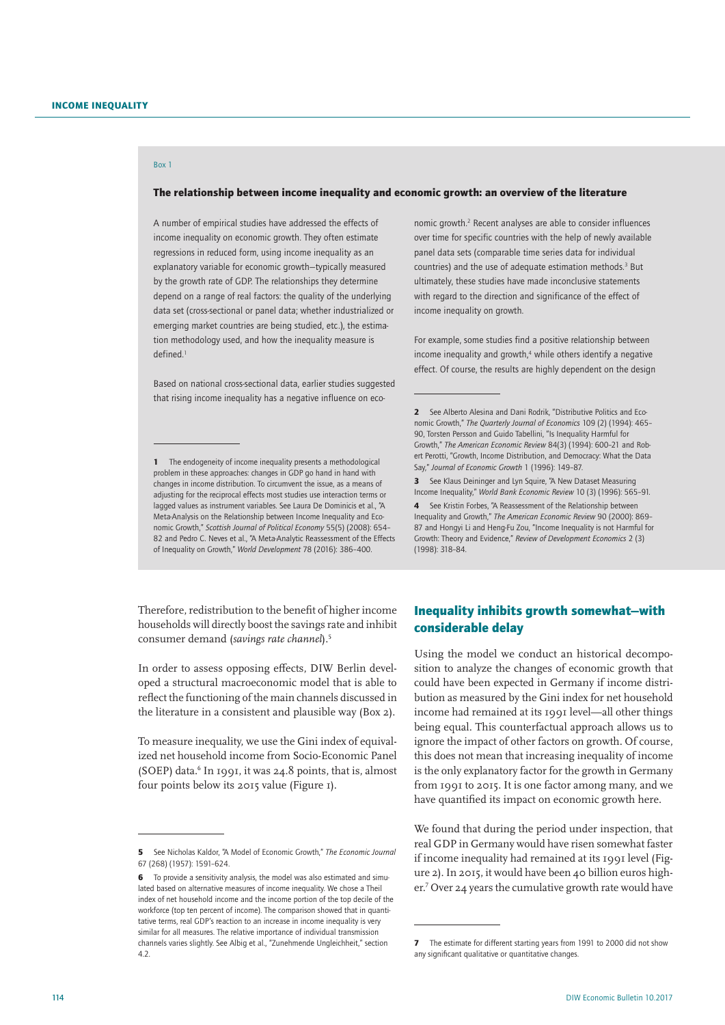# Box 1

## The relationship between income inequality and economic growth: an overview of the literature

A number of empirical studies have addressed the effects of income inequality on economic growth. They often estimate regressions in reduced form, using income inequality as an explanatory variable for economic growth—typically measured by the growth rate of GDP. The relationships they determine depend on a range of real factors: the quality of the underlying data set (cross-sectional or panel data; whether industrialized or emerging market countries are being studied, etc.), the estimation methodology used, and how the inequality measure is defined.<sup>1</sup>

Based on national cross-sectional data, earlier studies suggested that rising income inequality has a negative influence on eco-

Therefore, redistribution to the benefit of higher income households will directly boost the savings rate and inhibit consumer demand (*savings rate channel*).5

In order to assess opposing effects, DIW Berlin developed a structural macroeconomic model that is able to reflect the functioning of the main channels discussed in the literature in a consistent and plausible way (Box 2).

To measure inequality, we use the Gini index of equivalized net household income from Socio-Economic Panel (SOEP) data.6 In 1991, it was 24.8 points, that is, almost four points below its 2015 value (Figure 1).

nomic growth.<sup>2</sup> Recent analyses are able to consider influences over time for specific countries with the help of newly available panel data sets (comparable time series data for individual countries) and the use of adequate estimation methods.<sup>3</sup> But ultimately, these studies have made inconclusive statements with regard to the direction and significance of the effect of income inequality on growth.

For example, some studies find a positive relationship between income inequality and growth,<sup>4</sup> while others identify a negative effect. Of course, the results are highly dependent on the design

3 See Klaus Deininger and Lyn Squire, "A New Dataset Measuring Income Inequality," *World Bank Economic Review* 10 (3) (1996): 565–91.

4 See Kristin Forbes, "A Reassessment of the Relationship between Inequality and Growth," *The American Economic Review* 90 (2000): 869– 87 and Hongyi Li and Heng-Fu Zou, "Income Inequality is not Harmful for Growth: Theory and Evidence," *Review of Development Economics* 2 (3) (1998): 318–84.

# Inequality inhibits growth somewhat—with considerable delay

Using the model we conduct an historical decomposition to analyze the changes of economic growth that could have been expected in Germany if income distribution as measured by the Gini index for net household income had remained at its 1991 level—all other things being equal. This counterfactual approach allows us to ignore the impact of other factors on growth. Of course, this does not mean that increasing inequality of income is the only explanatory factor for the growth in Germany from 1991 to 2015. It is one factor among many, and we have quantified its impact on economic growth here.

We found that during the period under inspection, that real GDP in Germany would have risen somewhat faster if income inequality had remained at its 1991 level (Figure 2). In 2015, it would have been 40 billion euros higher.7 Over 24 years the cumulative growth rate would have

<sup>1</sup> The endogeneity of income inequality presents a methodological problem in these approaches: changes in GDP go hand in hand with changes in income distribution. To circumvent the issue, as a means of adjusting for the reciprocal effects most studies use interaction terms or lagged values as instrument variables. See Laura De Dominicis et al., "A Meta-Analysis on the Relationship between Income Inequality and Economic Growth," *Scottish Journal of Political Economy* 55(5) (2008): 654– 82 and Pedro C. Neves et al., "A Meta-Analytic Reassessment of the Effects of Inequality on Growth," *World Development* 78 (2016): 386–400.

<sup>5</sup> See Nicholas Kaldor, "A Model of Economic Growth," *The Economic Journal* 67 (268) (1957): 1591–624.

<sup>6</sup> To provide a sensitivity analysis, the model was also estimated and simulated based on alternative measures of income inequality. We chose a Theil index of net household income and the income portion of the top decile of the workforce (top ten percent of income). The comparison showed that in quantitative terms, real GDP's reaction to an increase in income inequality is very similar for all measures. The relative importance of individual transmission channels varies slightly. See Albig et al., "Zunehmende Ungleichheit," section 4.2.

<sup>2</sup> See Alberto Alesina and Dani Rodrik, "Distributive Politics and Economic Growth," *The Quarterly Journal of Economics* 109 (2) (1994): 465– 90, Torsten Persson and Guido Tabellini, "Is Inequality Harmful for Growth," *The American Economic Review* 84(3) (1994): 600–21 and Robert Perotti, "Growth, Income Distribution, and Democracy: What the Data Say," *Journal of Economic Growth* 1 (1996): 149–87.

<sup>7</sup> The estimate for different starting years from 1991 to 2000 did not show any significant qualitative or quantitative changes.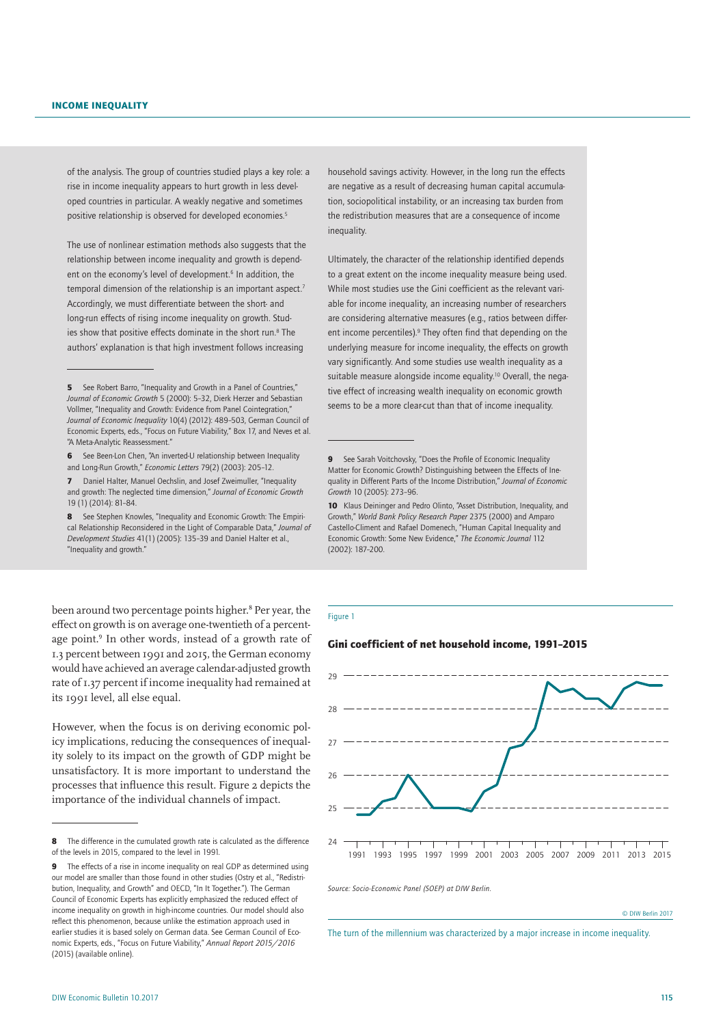of the analysis. The group of countries studied plays a key role: a rise in income inequality appears to hurt growth in less developed countries in particular. A weakly negative and sometimes positive relationship is observed for developed economies.<sup>5</sup>

The use of nonlinear estimation methods also suggests that the relationship between income inequality and growth is dependent on the economy's level of development.<sup>6</sup> In addition, the temporal dimension of the relationship is an important aspect.<sup>7</sup> Accordingly, we must differentiate between the short- and long-run effects of rising income inequality on growth. Studies show that positive effects dominate in the short run.<sup>8</sup> The authors' explanation is that high investment follows increasing

7 Daniel Halter, Manuel Oechslin, and Josef Zweimuller, "Inequality and growth: The neglected time dimension," *Journal of Economic Growth* 19 (1) (2014): 81–84.

8 See Stephen Knowles, "Inequality and Economic Growth: The Empirical Relationship Reconsidered in the Light of Comparable Data," *Journal of Development Studies* 41(1) (2005): 135–39 and Daniel Halter et al., "Inequality and growth."

been around two percentage points higher.8 Per year, the effect on growth is on average one-twentieth of a percentage point.<sup>9</sup> In other words, instead of a growth rate of 1.3 percent between 1991 and 2015, the German economy would have achieved an average calendar-adjusted growth rate of 1.37 percent if income inequality had remained at its 1991 level, all else equal.

However, when the focus is on deriving economic policy implications, reducing the consequences of inequality solely to its impact on the growth of GDP might be unsatisfactory. It is more important to understand the processes that influence this result. Figure 2 depicts the importance of the individual channels of impact.

household savings activity. However, in the long run the effects are negative as a result of decreasing human capital accumulation, sociopolitical instability, or an increasing tax burden from the redistribution measures that are a consequence of income inequality.

Ultimately, the character of the relationship identified depends to a great extent on the income inequality measure being used. While most studies use the Gini coefficient as the relevant variable for income inequality, an increasing number of researchers are considering alternative measures (e.g., ratios between different income percentiles).<sup>9</sup> They often find that depending on the underlying measure for income inequality, the effects on growth vary significantly. And some studies use wealth inequality as a suitable measure alongside income equality.<sup>10</sup> Overall, the negative effect of increasing wealth inequality on economic growth seems to be a more clear-cut than that of income inequality.

#### Figure 1

## Gini coefficient of net household income, 1991–2015



*Source: Socio-Economic Panel (SOEP) at DIW Berlin.*

© DIW Berlin 2017

The turn of the millennium was characterized by a major increase in income inequality.

<sup>5</sup> See Robert Barro, "Inequality and Growth in a Panel of Countries," *Journal of Economic Growth* 5 (2000): 5–32, Dierk Herzer and Sebastian Vollmer, "Inequality and Growth: Evidence from Panel Cointegration," *Journal of Economic Inequality* 10(4) (2012): 489–503, German Council of Economic Experts, eds., "Focus on Future Viability," Box 17, and Neves et al. "A Meta-Analytic Reassessment."

<sup>6</sup> See Been-Lon Chen, "An inverted-U relationship between Inequality and Long-Run Growth," *Economic Letters* 79(2) (2003): 205–12.

<sup>8</sup> The difference in the cumulated growth rate is calculated as the difference of the levels in 2015, compared to the level in 1991.

<sup>9</sup> The effects of a rise in income inequality on real GDP as determined using our model are smaller than those found in other studies (Ostry et al., "Redistribution, Inequality, and Growth" and OECD, "In It Together."). The German Council of Economic Experts has explicitly emphasized the reduced effect of income inequality on growth in high-income countries. Our model should also reflect this phenomenon, because unlike the estimation approach used in earlier studies it is based solely on German data. See German Council of Economic Experts, eds., "Focus on Future Viability," *Annual Report 2015/2016* (2015) [\(available online\)](https://www.sachverstaendigenrat-wirtschaft.de/jahresgutachten-2015-20160.html?&L=1).

<sup>9</sup> See Sarah Voitchovsky, "Does the Profile of Economic Inequality Matter for Economic Growth? Distinguishing between the Effects of Inequality in Different Parts of the Income Distribution," *Journal of Economic Growth* 10 (2005): 273–96.

<sup>10</sup> Klaus Deininger and Pedro Olinto, "Asset Distribution, Inequality, and Growth," *World Bank Policy Research Paper* 2375 (2000) and Amparo Castello-Climent and Rafael Domenech, "Human Capital Inequality and Economic Growth: Some New Evidence," *The Economic Journal* 112 (2002): 187–200.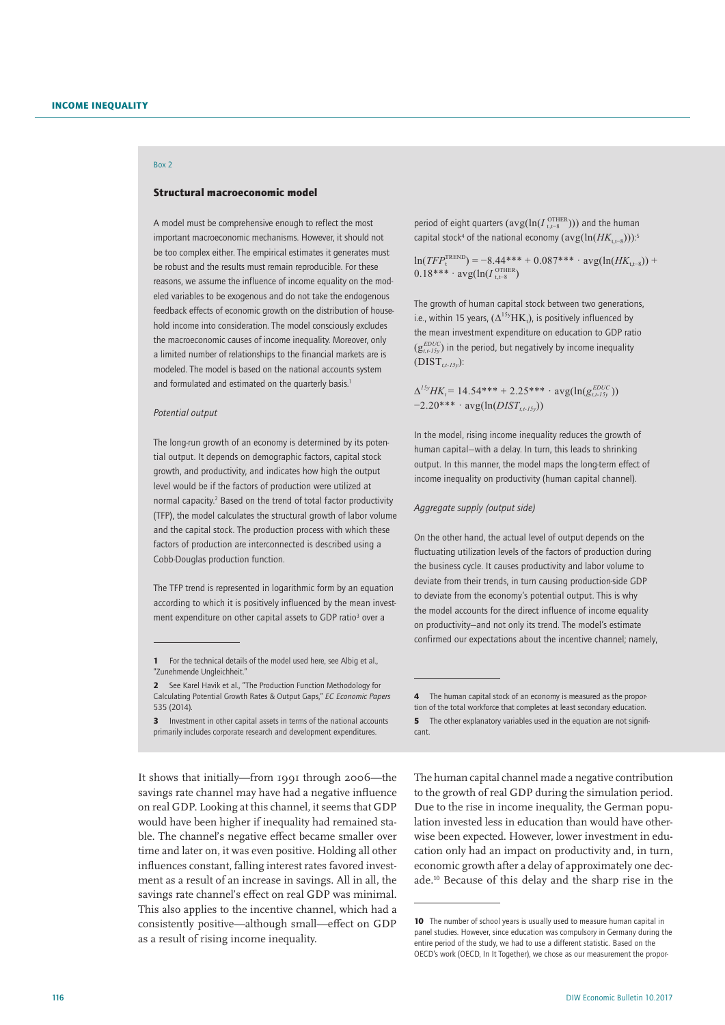# Box 2

## Structural macroeconomic model

A model must be comprehensive enough to reflect the most important macroeconomic mechanisms. However, it should not be too complex either. The empirical estimates it generates must be robust and the results must remain reproducible. For these reasons, we assume the influence of income equality on the modeled variables to be exogenous and do not take the endogenous feedback effects of economic growth on the distribution of household income into consideration. The model consciously excludes the macroeconomic causes of income inequality. Moreover, only a limited number of relationships to the financial markets are is modeled. The model is based on the national accounts system and formulated and estimated on the quarterly basis.<sup>1</sup>

#### *Potential output*

The long-run growth of an economy is determined by its potential output. It depends on demographic factors, capital stock growth, and productivity, and indicates how high the output level would be if the factors of production were utilized at normal capacity.<sup>2</sup> Based on the trend of total factor productivity (TFP), the model calculates the structural growth of labor volume and the capital stock. The production process with which these factors of production are interconnected is described using a Cobb-Douglas production function.

The TFP trend is represented in logarithmic form by an equation according to which it is positively influenced by the mean investment expenditure on other capital assets to GDP ratio<sup>3</sup> over a

**3** Investment in other capital assets in terms of the national accounts primarily includes corporate research and development expenditures.

It shows that initially—from 1991 through 2006—the savings rate channel may have had a negative influence on real GDP. Looking at this channel, it seems that GDP would have been higher if inequality had remained stable. The channel's negative effect became smaller over time and later on, it was even positive. Holding all other influences constant, falling interest rates favored investment as a result of an increase in savings. All in all, the savings rate channel's effect on real GDP was minimal. This also applies to the incentive channel, which had a consistently positive—although small—effect on GDP as a result of rising income inequality.

period of eight quarters  $(\text{avg}(\ln(I_{t,t-s}^{\text{OTHER}})))$  and the human  $\epsilon$ capital stock<sup>4</sup> of the national economy  $(\text{avg}(\ln(HK_{t,t-8})))$ :

 $ln(TFP_t^{TREND}) = -8.44*** + 0.087***$  ·  $avg(ln(HK_{t,t-S}))$  +  $0.18$ <sup>\*\*\*</sup>  $\cdot$  avg(ln( $I_{t,t-8}^{OTHER}$ )

The growth of human capital stock between two generations, i.e., within 15 years,  $(\Delta^{15y}HK_t)$ , is positively influenced by the mean investment expenditure on education to GDP ratio  $(g_{t,t-15y}^{EDUC})$  in the period, but negatively by income inequality  $(DIST_{tt-15y})$ :

$$
\Delta^{15y}HK_t = 14.54^{***} + 2.25^{***} \cdot \text{avg}(\ln(g_{t,t-15y}^{EDUC})) - 2.20^{***} \cdot \text{avg}(\ln(DIST_{t,t-15y}))
$$

In the model, rising income inequality reduces the growth of human capital—with a delay. In turn, this leads to shrinking output. In this manner, the model maps the long-term effect of income inequality on productivity (human capital channel).

#### *Aggregate supply (output side)*

On the other hand, the actual level of output depends on the fluctuating utilization levels of the factors of production during the business cycle. It causes productivity and labor volume to deviate from their trends, in turn causing production-side GDP to deviate from the economy's potential output. This is why the model accounts for the direct influence of income equality on productivity—and not only its trend. The model's estimate confirmed our expectations about the incentive channel; namely,

The human capital channel made a negative contribution to the growth of real GDP during the simulation period. Due to the rise in income inequality, the German population invested less in education than would have otherwise been expected. However, lower investment in education only had an impact on productivity and, in turn, economic growth after a delay of approximately one decade.10 Because of this delay and the sharp rise in the

<sup>1</sup> For the technical details of the model used here, see Albig et al., "Zunehmende Ungleichheit."

<sup>2</sup> See Karel Havik et al., "The Production Function Methodology for Calculating Potential Growth Rates & Output Gaps," *EC Economic Papers* 535 (2014).

<sup>4</sup> The human capital stock of an economy is measured as the propor-

tion of the total workforce that completes at least secondary education. 5 The other explanatory variables used in the equation are not significant.

<sup>10</sup> The number of school years is usually used to measure human capital in panel studies. However, since education was compulsory in Germany during the entire period of the study, we had to use a different statistic. Based on the OECD's work (OECD, In It Together), we chose as our measurement the propor-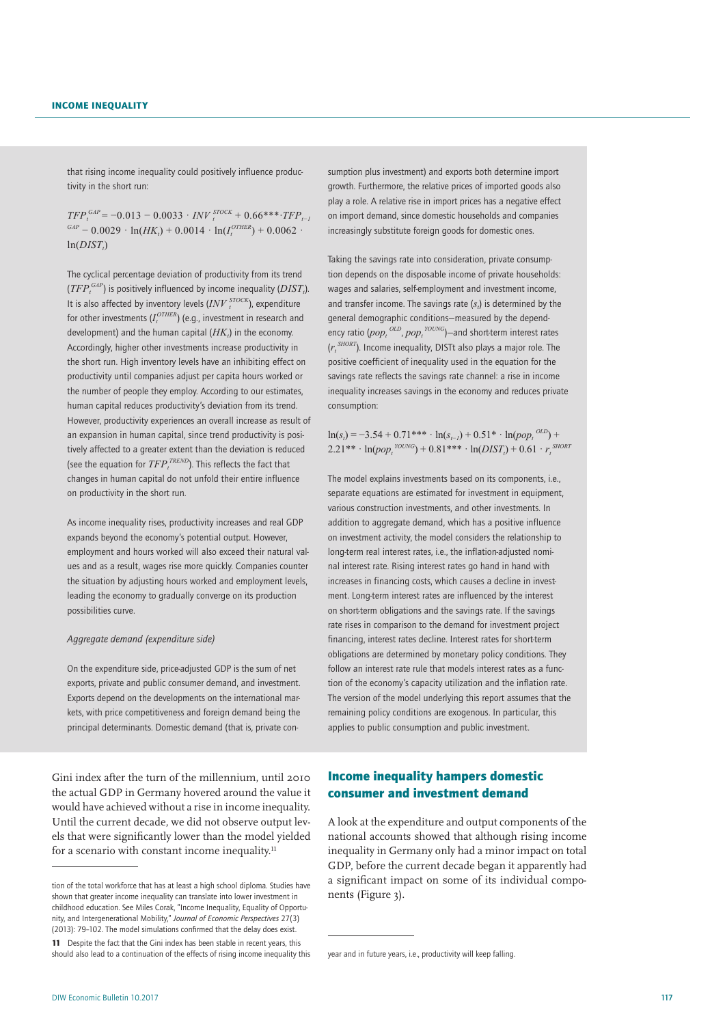that rising income inequality could positively influence productivity in the short run:

 $TFP_t^{GAP}$  = −0.013 − 0.0033 *⋅ INV*  $_t^{STOCK}$  + 0.66\*\*\**•TFP*<sub>*t−1*</sub>  $GAP - 0.0029 \cdot \ln(HK_i) + 0.0014 \cdot \ln(I_i^{OTHER}) + 0.0062 \cdot$  $ln(DIST_t)$ 

The cyclical percentage deviation of productivity from its trend  $(TFP<sub>t</sub><sup>GAP</sup>)$  is positively influenced by income inequality ( $DIST<sub>t</sub>$ ). It is also affected by inventory levels  $\left(\frac{INV}{t}\right)^{STOCK}$ ), expenditure for other investments  $(I_t^{OTHER})$  (e.g., investment in research and development) and the human capital  $(HK_n)$  in the economy. Accordingly, higher other investments increase productivity in the short run. High inventory levels have an inhibiting effect on productivity until companies adjust per capita hours worked or the number of people they employ. According to our estimates, human capital reduces productivity's deviation from its trend. However, productivity experiences an overall increase as result of an expansion in human capital, since trend productivity is positively affected to a greater extent than the deviation is reduced (see the equation for  $TFP_t^{TREDD}$ ). This reflects the fact that changes in human capital do not unfold their entire influence on productivity in the short run.

As income inequality rises, productivity increases and real GDP expands beyond the economy's potential output. However, employment and hours worked will also exceed their natural values and as a result, wages rise more quickly. Companies counter the situation by adjusting hours worked and employment levels, leading the economy to gradually converge on its production possibilities curve.

## *Aggregate demand (expenditure side)*

On the expenditure side, price-adjusted GDP is the sum of net exports, private and public consumer demand, and investment. Exports depend on the developments on the international markets, with price competitiveness and foreign demand being the principal determinants. Domestic demand (that is, private consumption plus investment) and exports both determine import growth. Furthermore, the relative prices of imported goods also play a role. A relative rise in import prices has a negative effect on import demand, since domestic households and companies increasingly substitute foreign goods for domestic ones.

Taking the savings rate into consideration, private consumption depends on the disposable income of private households: wages and salaries, self-employment and investment income, and transfer income. The savings rate  $(s<sub>t</sub>)$  is determined by the general demographic conditions—measured by the dependency ratio ( $pop_t$ <sup>OLD</sup>,  $pop_t$ <sup>YOUNG</sup>)—and short-term interest rates  $(r_t^{\text{SHORT}})$ . Income inequality, DISTt also plays a major role. The positive coefficient of inequality used in the equation for the savings rate reflects the savings rate channel: a rise in income inequality increases savings in the economy and reduces private consumption:

 $ln(s<sub>i</sub>) = -3.54 + 0.71$ <sup>\*\*\*</sup> ·  $ln(s<sub>i−i</sub>) + 0.51$ <sup>\*</sup> ·  $ln(pop<sub>i</sub>$ <sup>*OLD*</sup>) +  $2.21^{**} \cdot \ln(pop_t^{YOUNG}) + 0.81^{***} \cdot \ln(DIST_t) + 0.61 \cdot r_t^{SHORN}$ 

The model explains investments based on its components, i.e., separate equations are estimated for investment in equipment, various construction investments, and other investments. In addition to aggregate demand, which has a positive influence on investment activity, the model considers the relationship to long-term real interest rates, i.e., the inflation-adjusted nominal interest rate. Rising interest rates go hand in hand with increases in financing costs, which causes a decline in investment. Long-term interest rates are influenced by the interest on short-term obligations and the savings rate. If the savings rate rises in comparison to the demand for investment project financing, interest rates decline. Interest rates for short-term obligations are determined by monetary policy conditions. They follow an interest rate rule that models interest rates as a function of the economy's capacity utilization and the inflation rate. The version of the model underlying this report assumes that the remaining policy conditions are exogenous. In particular, this applies to public consumption and public investment.

Gini index after the turn of the millennium, until 2010 the actual GDP in Germany hovered around the value it would have achieved without a rise in income inequality. Until the current decade, we did not observe output levels that were significantly lower than the model yielded for a scenario with constant income inequality. $11$ 

# Income inequality hampers domestic consumer and investment demand

A look at the expenditure and output components of the national accounts showed that although rising income inequality in Germany only had a minor impact on total GDP, before the current decade began it apparently had a significant impact on some of its individual components (Figure 3).

tion of the total workforce that has at least a high school diploma. Studies have shown that greater income inequality can translate into lower investment in childhood education. See Miles Corak, "Income Inequality, Equality of Opportunity, and Intergenerational Mobility," *Journal of Economic Perspectives* 27(3) (2013): 79–102. The model simulations confirmed that the delay does exist.

<sup>11</sup> Despite the fact that the Gini index has been stable in recent years, this should also lead to a continuation of the effects of rising income inequality this

year and in future years, i.e., productivity will keep falling.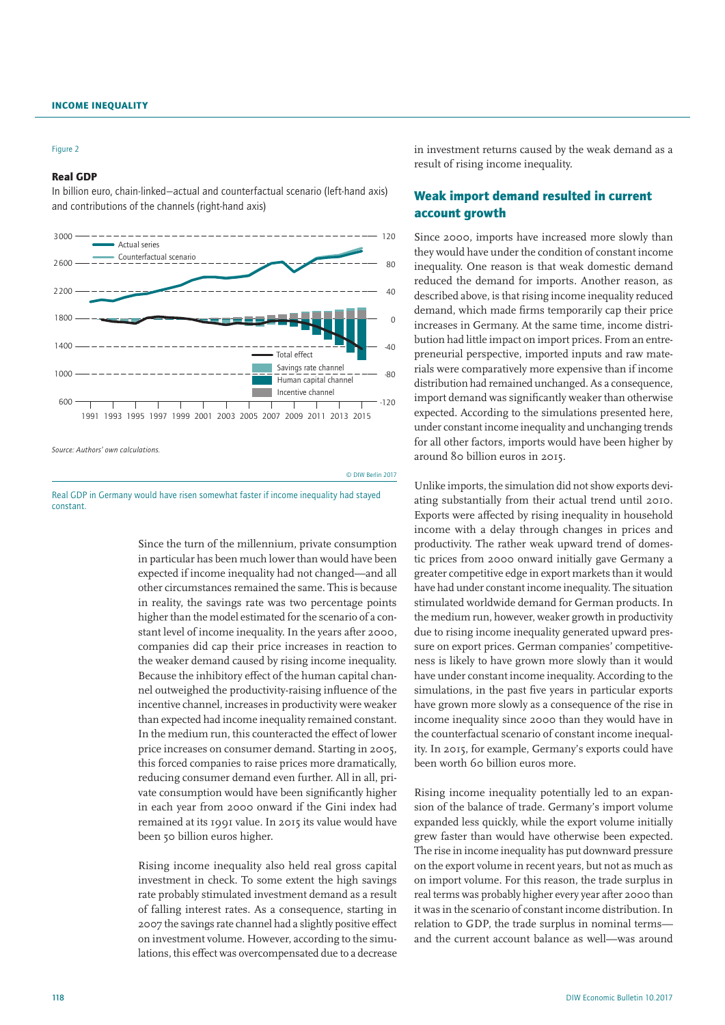#### Figure 2

## Real GDP

In billion euro, chain-linked—actual and counterfactual scenario (left-hand axis) and contributions of the channels (right-hand axis)



*Source: Authors' own calculations.*

Real GDP in Germany would have risen somewhat faster if income inequality had stayed constant.

Since the turn of the millennium, private consumption in particular has been much lower than would have been expected if income inequality had not changed—and all other circumstances remained the same. This is because in reality, the savings rate was two percentage points higher than the model estimated for the scenario of a constant level of income inequality. In the years after 2000, companies did cap their price increases in reaction to the weaker demand caused by rising income inequality. Because the inhibitory effect of the human capital channel outweighed the productivity-raising influence of the incentive channel, increases in productivity were weaker than expected had income inequality remained constant. In the medium run, this counteracted the effect of lower price increases on consumer demand. Starting in 2005, this forced companies to raise prices more dramatically, reducing consumer demand even further. All in all, private consumption would have been significantly higher in each year from 2000 onward if the Gini index had remained at its 1991 value. In 2015 its value would have been 50 billion euros higher.

© DIW Berlin 2017

Rising income inequality also held real gross capital investment in check. To some extent the high savings rate probably stimulated investment demand as a result of falling interest rates. As a consequence, starting in 2007 the savings rate channel had a slightly positive effect on investment volume. However, according to the simulations, this effect was overcompensated due to a decrease in investment returns caused by the weak demand as a result of rising income inequality.

# Weak import demand resulted in current account growth

Since 2000, imports have increased more slowly than they would have under the condition of constant income inequality. One reason is that weak domestic demand reduced the demand for imports. Another reason, as described above, is that rising income inequality reduced demand, which made firms temporarily cap their price increases in Germany. At the same time, income distribution had little impact on import prices. From an entrepreneurial perspective, imported inputs and raw materials were comparatively more expensive than if income distribution had remained unchanged. As a consequence, import demand was significantly weaker than otherwise expected. According to the simulations presented here, under constant income inequality and unchanging trends for all other factors, imports would have been higher by around 80 billion euros in 2015.

Unlike imports, the simulation did not show exports deviating substantially from their actual trend until 2010. Exports were affected by rising inequality in household income with a delay through changes in prices and productivity. The rather weak upward trend of domestic prices from 2000 onward initially gave Germany a greater competitive edge in export markets than it would have had under constant income inequality. The situation stimulated worldwide demand for German products. In the medium run, however, weaker growth in productivity due to rising income inequality generated upward pressure on export prices. German companies' competitiveness is likely to have grown more slowly than it would have under constant income inequality. According to the simulations, in the past five years in particular exports have grown more slowly as a consequence of the rise in income inequality since 2000 than they would have in the counterfactual scenario of constant income inequality. In 2015, for example, Germany's exports could have been worth 60 billion euros more.

Rising income inequality potentially led to an expansion of the balance of trade. Germany's import volume expanded less quickly, while the export volume initially grew faster than would have otherwise been expected. The rise in income inequality has put downward pressure on the export volume in recent years, but not as much as on import volume. For this reason, the trade surplus in real terms was probably higher every year after 2000 than it was in the scenario of constant income distribution. In relation to GDP, the trade surplus in nominal terms and the current account balance as well—was around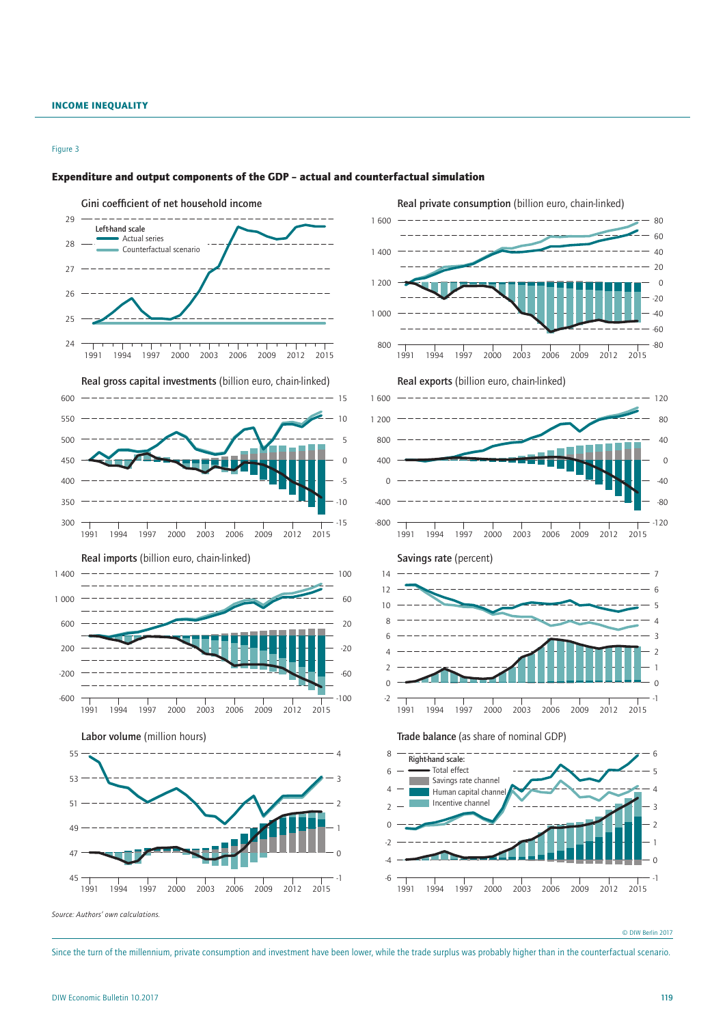#### Figure 3



### Expenditure and output components of the GDP – actual and counterfactual simulation

Since the turn of the millennium, private consumption and investment have been lower, while the trade surplus was probably higher than in the counterfactual scenario.

<sup>©</sup> DIW Berlin 2017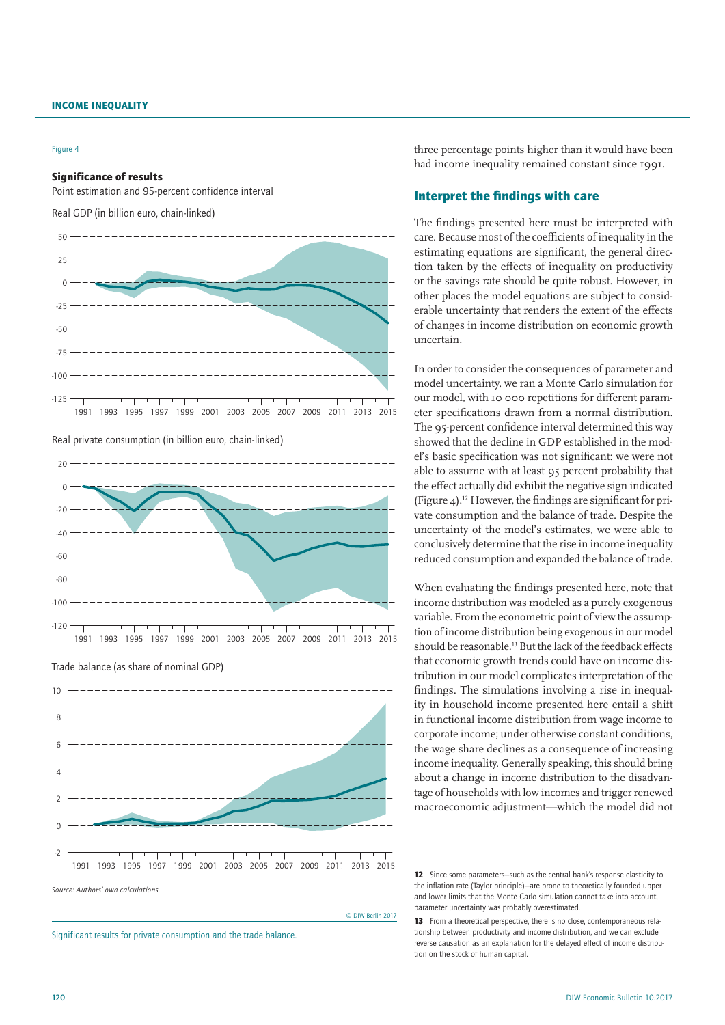#### Figure 4

#### Significance of results

Point estimation and 95-percent confidence interval

Real GDP (in billion euro, chain-linked)



Real private consumption (in billion euro, chain-linked)



Trade balance (as share of nominal GDP)



Significant results for private consumption and the trade balance.

three percentage points higher than it would have been had income inequality remained constant since 1991.

# Interpret the findings with care

The findings presented here must be interpreted with care. Because most of the coefficients of inequality in the estimating equations are significant, the general direction taken by the effects of inequality on productivity or the savings rate should be quite robust. However, in other places the model equations are subject to considerable uncertainty that renders the extent of the effects of changes in income distribution on economic growth uncertain.

In order to consider the consequences of parameter and model uncertainty, we ran a Monte Carlo simulation for our model, with 10 000 repetitions for different parameter specifications drawn from a normal distribution. The 95-percent confidence interval determined this way showed that the decline in GDP established in the model's basic specification was not significant: we were not able to assume with at least 95 percent probability that the effect actually did exhibit the negative sign indicated (Figure 4).<sup>12</sup> However, the findings are significant for private consumption and the balance of trade. Despite the uncertainty of the model's estimates, we were able to conclusively determine that the rise in income inequality reduced consumption and expanded the balance of trade.

When evaluating the findings presented here, note that income distribution was modeled as a purely exogenous variable. From the econometric point of view the assumption of income distribution being exogenous in our model should be reasonable.13 But the lack of the feedback effects that economic growth trends could have on income distribution in our model complicates interpretation of the findings. The simulations involving a rise in inequality in household income presented here entail a shift in functional income distribution from wage income to corporate income; under otherwise constant conditions, the wage share declines as a consequence of increasing income inequality. Generally speaking, this should bring about a change in income distribution to the disadvantage of households with low incomes and trigger renewed macroeconomic adjustment—which the model did not

© DIW Berlin 2017

<sup>12</sup> Since some parameters-such as the central bank's response elasticity to the inflation rate (Taylor principle)—are prone to theoretically founded upper and lower limits that the Monte Carlo simulation cannot take into account parameter uncertainty was probably overestimated.

<sup>13</sup> From a theoretical perspective, there is no close, contemporaneous relationship between productivity and income distribution, and we can exclude reverse causation as an explanation for the delayed effect of income distribution on the stock of human capital.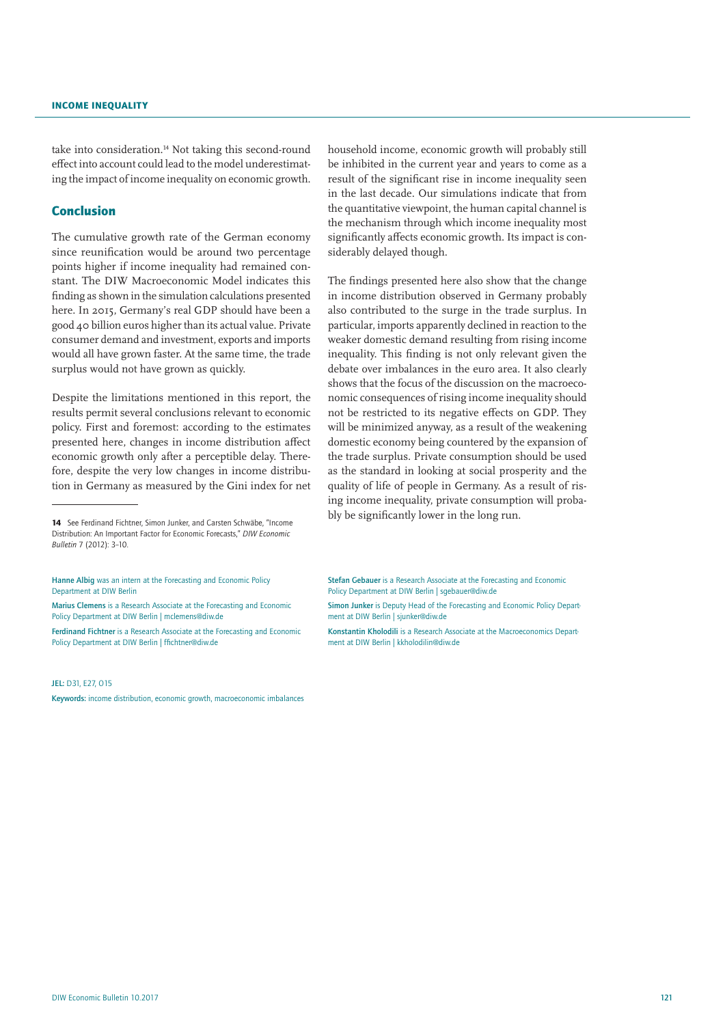take into consideration.<sup>14</sup> Not taking this second-round effect into account could lead to the model underestimating the impact of income inequality on economic growth.

# Conclusion

The cumulative growth rate of the German economy since reunification would be around two percentage points higher if income inequality had remained constant. The DIW Macroeconomic Model indicates this finding as shown in the simulation calculations presented here. In 2015, Germany's real GDP should have been a good 40 billion euros higher than its actual value. Private consumer demand and investment, exports and imports would all have grown faster. At the same time, the trade surplus would not have grown as quickly.

Despite the limitations mentioned in this report, the results permit several conclusions relevant to economic policy. First and foremost: according to the estimates presented here, changes in income distribution affect economic growth only after a perceptible delay. Therefore, despite the very low changes in income distribution in Germany as measured by the Gini index for net

Ferdinand Fichtner is a Research Associate at the Forecasting and Economic Policy Department at DIW Berlin | ffichtner@diw.de

JEL: D31, E27, O15

household income, economic growth will probably still be inhibited in the current year and years to come as a result of the significant rise in income inequality seen in the last decade. Our simulations indicate that from the quantitative viewpoint, the human capital channel is the mechanism through which income inequality most significantly affects economic growth. Its impact is considerably delayed though.

The findings presented here also show that the change in income distribution observed in Germany probably also contributed to the surge in the trade surplus. In particular, imports apparently declined in reaction to the weaker domestic demand resulting from rising income inequality. This finding is not only relevant given the debate over imbalances in the euro area. It also clearly shows that the focus of the discussion on the macroeconomic consequences of rising income inequality should not be restricted to its negative effects on GDP. They will be minimized anyway, as a result of the weakening domestic economy being countered by the expansion of the trade surplus. Private consumption should be used as the standard in looking at social prosperity and the quality of life of people in Germany. As a result of rising income inequality, private consumption will probably be significantly lower in the long run.

Stefan Gebauer is a Research Associate at the Forecasting and Economic Policy Department at DIW Berlin | sgebauer@diw.de

Simon Junker is Deputy Head of the Forecasting and Economic Policy Department at DIW Berlin | sjunker@diw.de

Konstantin Kholodili is a Research Associate at the Macroeconomics Department at DIW Berlin | kkholodilin@diw.de

<sup>14</sup> See Ferdinand Fichtner, Simon Junker, and Carsten Schwäbe, "Income Distribution: An Important Factor for Economic Forecasts," *DIW Economic Bulletin* 7 (2012): 3–10.

Hanne Albig was an intern at the Forecasting and Economic Policy Department at DIW Berlin

Marius Clemens is a Research Associate at the Forecasting and Economic Policy Department at DIW Berlin | mclemens@diw.de

Keywords: income distribution, economic growth, macroeconomic imbalances